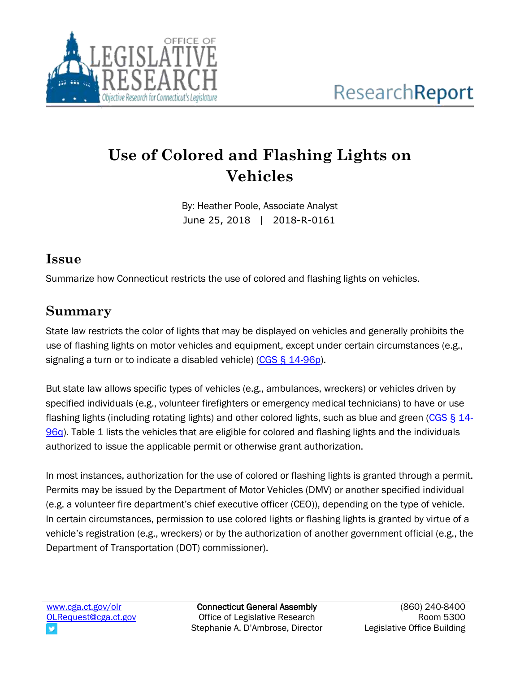

# **Use of Colored and Flashing Lights on Vehicles**

By: Heather Poole, Associate Analyst June 25, 2018 | 2018-R-0161

#### **Issue**

Summarize how Connecticut restricts the use of colored and flashing lights on vehicles.

### **Summary**

State law restricts the color of lights that may be displayed on vehicles and generally prohibits the use of flashing lights on motor vehicles and equipment, except under certain circumstances (e.g., signaling a turn or to indicate a disabled vehicle) [\(CGS § 14-96p\)](https://www.cga.ct.gov/2015/pub/chap_246.htm#sec_14-96p).

But state law allows specific types of vehicles (e.g., ambulances, wreckers) or vehicles driven by specified individuals (e.g., volunteer firefighters or emergency medical technicians) to have or use flashing lights (including rotating lights) and other colored lights, such as blue and green [\(CGS § 14-](https://www.cga.ct.gov/2015/pub/chap_246.htm#sec_14-96q) [96q\)](https://www.cga.ct.gov/2015/pub/chap_246.htm#sec_14-96q). Table 1 lists the vehicles that are eligible for colored and flashing lights and the individuals authorized to issue the applicable permit or otherwise grant authorization.

In most instances, authorization for the use of colored or flashing lights is granted through a permit. Permits may be issued by the Department of Motor Vehicles (DMV) or another specified individual (e.g. a volunteer fire department's chief executive officer (CEO)), depending on the type of vehicle. In certain circumstances, permission to use colored lights or flashing lights is granted by virtue of a vehicle's registration (e.g., wreckers) or by the authorization of another government official (e.g., the Department of Transportation (DOT) commissioner).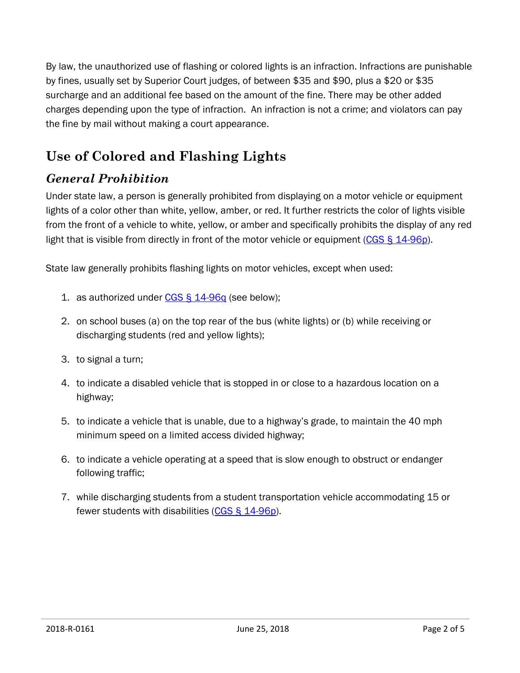By law, the unauthorized use of flashing or colored lights is an infraction. Infractions are punishable by fines, usually set by Superior Court judges, of between \$35 and \$90, plus a \$20 or \$35 surcharge and an additional fee based on the amount of the fine. There may be other added charges depending upon the type of infraction. An infraction is not a crime; and violators can pay the fine by mail without making a court appearance.

## **Use of Colored and Flashing Lights**

### *General Prohibition*

Under state law, a person is generally prohibited from displaying on a motor vehicle or equipment lights of a color other than white, yellow, amber, or red. It further restricts the color of lights visible from the front of a vehicle to white, yellow, or amber and specifically prohibits the display of any red light that is visible from directly in front of the motor vehicle or equipment [\(CGS § 14-96p\)](https://www.cga.ct.gov/2015/pub/chap_246.htm#sec_14-96p).

State law generally prohibits flashing lights on motor vehicles, except when used:

- 1. as authorized under  $CGS \leq 14-96q$  $CGS \leq 14-96q$  (see below);
- 2. on school buses (a) on the top rear of the bus (white lights) or (b) while receiving or discharging students (red and yellow lights);
- 3. to signal a turn;
- 4. to indicate a disabled vehicle that is stopped in or close to a hazardous location on a highway;
- 5. to indicate a vehicle that is unable, due to a highway's grade, to maintain the 40 mph minimum speed on a limited access divided highway;
- 6. to indicate a vehicle operating at a speed that is slow enough to obstruct or endanger following traffic;
- 7. while discharging students from a student transportation vehicle accommodating 15 or fewer students with disabilities [\(CGS § 14-96p\)](https://www.cga.ct.gov/2015/pub/chap_246.htm#sec_14-96p).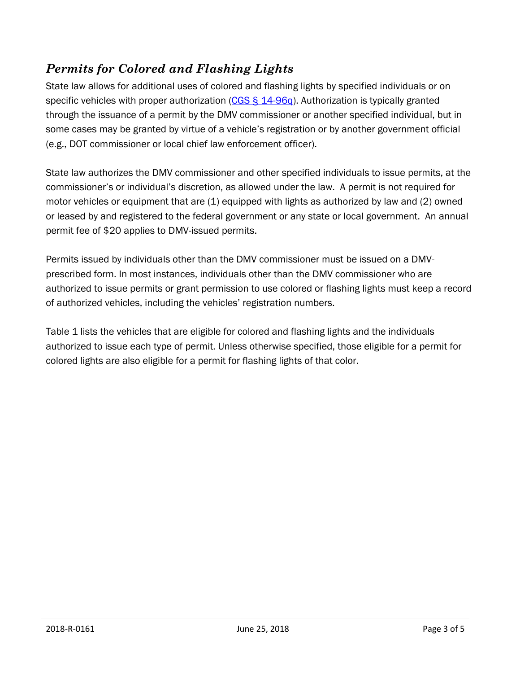#### *Permits for Colored and Flashing Lights*

State law allows for additional uses of colored and flashing lights by specified individuals or on specific vehicles with proper authorization [\(CGS § 14-96q\)](https://www.cga.ct.gov/2015/pub/chap_246.htm#sec_14-96q). Authorization is typically granted through the issuance of a permit by the DMV commissioner or another specified individual, but in some cases may be granted by virtue of a vehicle's registration or by another government official (e.g., DOT commissioner or local chief law enforcement officer).

State law authorizes the DMV commissioner and other specified individuals to issue permits, at the commissioner's or individual's discretion, as allowed under the law. A permit is not required for motor vehicles or equipment that are (1) equipped with lights as authorized by law and (2) owned or leased by and registered to the federal government or any state or local government. An annual permit fee of \$20 applies to DMV-issued permits.

Permits issued by individuals other than the DMV commissioner must be issued on a DMVprescribed form. In most instances, individuals other than the DMV commissioner who are authorized to issue permits or grant permission to use colored or flashing lights must keep a record of authorized vehicles, including the vehicles' registration numbers.

Table 1 lists the vehicles that are eligible for colored and flashing lights and the individuals authorized to issue each type of permit. Unless otherwise specified, those eligible for a permit for colored lights are also eligible for a permit for flashing lights of that color.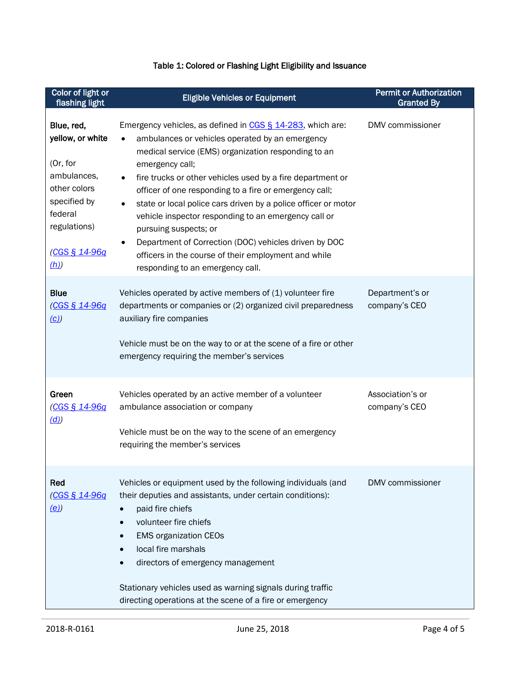#### Table 1: Colored or Flashing Light Eligibility and Issuance

| Color of light or<br>flashing light                                                                                                          | <b>Eligible Vehicles or Equipment</b>                                                                                                                                                                                                                                                                                                                                                                                                                                                                                                                                                                                                                                       | <b>Permit or Authorization</b><br><b>Granted By</b> |
|----------------------------------------------------------------------------------------------------------------------------------------------|-----------------------------------------------------------------------------------------------------------------------------------------------------------------------------------------------------------------------------------------------------------------------------------------------------------------------------------------------------------------------------------------------------------------------------------------------------------------------------------------------------------------------------------------------------------------------------------------------------------------------------------------------------------------------------|-----------------------------------------------------|
| Blue, red,<br>yellow, or white<br>(Or, for<br>ambulances,<br>other colors<br>specified by<br>federal<br>regulations)<br>(CGS § 14-96q<br>(h) | Emergency vehicles, as defined in CGS § 14-283, which are:<br>ambulances or vehicles operated by an emergency<br>$\bullet$<br>medical service (EMS) organization responding to an<br>emergency call;<br>fire trucks or other vehicles used by a fire department or<br>$\bullet$<br>officer of one responding to a fire or emergency call;<br>state or local police cars driven by a police officer or motor<br>$\bullet$<br>vehicle inspector responding to an emergency call or<br>pursuing suspects; or<br>Department of Correction (DOC) vehicles driven by DOC<br>$\bullet$<br>officers in the course of their employment and while<br>responding to an emergency call. | DMV commissioner                                    |
| <b>Blue</b><br><u>(CGS § 14-96q</u><br>(c)                                                                                                   | Vehicles operated by active members of (1) volunteer fire<br>departments or companies or (2) organized civil preparedness<br>auxiliary fire companies<br>Vehicle must be on the way to or at the scene of a fire or other<br>emergency requiring the member's services                                                                                                                                                                                                                                                                                                                                                                                                      | Department's or<br>company's CEO                    |
| Green<br><u>(CGS § 14-96q</u><br>(d)                                                                                                         | Vehicles operated by an active member of a volunteer<br>ambulance association or company<br>Vehicle must be on the way to the scene of an emergency<br>requiring the member's services                                                                                                                                                                                                                                                                                                                                                                                                                                                                                      | Association's or<br>company's CEO                   |
| Red<br><u>(CGS § 14-96q</u><br>(e)                                                                                                           | Vehicles or equipment used by the following individuals (and<br>their deputies and assistants, under certain conditions):<br>paid fire chiefs<br>volunteer fire chiefs<br>$\bullet$<br><b>EMS organization CEOs</b><br>local fire marshals<br>$\bullet$<br>directors of emergency management<br>Stationary vehicles used as warning signals during traffic<br>directing operations at the scene of a fire or emergency                                                                                                                                                                                                                                                      | DMV commissioner                                    |